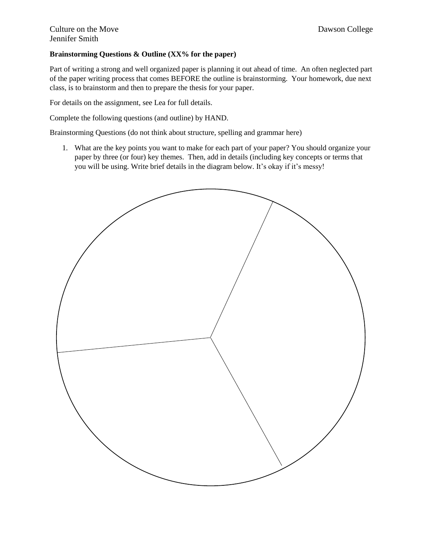## **Brainstorming Questions & Outline (XX% for the paper)**

Part of writing a strong and well organized paper is planning it out ahead of time. An often neglected part of the paper writing process that comes BEFORE the outline is brainstorming. Your homework, due next class, is to brainstorm and then to prepare the thesis for your paper.

For details on the assignment, see Lea for full details.

Complete the following questions (and outline) by HAND.

Brainstorming Questions (do not think about structure, spelling and grammar here)

1. What are the key points you want to make for each part of your paper? You should organize your paper by three (or four) key themes. Then, add in details (including key concepts or terms that you will be using. Write brief details in the diagram below. It's okay if it's messy!